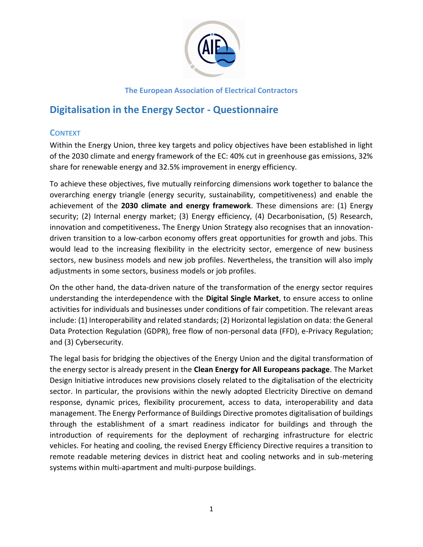

# **Digitalisation in the Energy Sector - Questionnaire**

# **CONTEXT**

Within the Energy Union, three key targets and policy objectives have been established in light of the 2030 climate and energy framework of the EC: 40% cut in greenhouse gas emissions, 32% share for renewable energy and 32.5% improvement in energy efficiency.

To achieve these objectives, five mutually reinforcing dimensions work together to balance the overarching energy triangle (energy security, sustainability, competitiveness) and enable the achievement of the **2030 climate and energy framework**. These dimensions are: (1) Energy security; (2) Internal energy market; (3) Energy efficiency, (4) Decarbonisation, (5) Research, innovation and competitiveness**.** The Energy Union Strategy also recognises that an innovationdriven transition to a low-carbon economy offers great opportunities for growth and jobs. This would lead to the increasing flexibility in the electricity sector, emergence of new business sectors, new business models and new job profiles. Nevertheless, the transition will also imply adjustments in some sectors, business models or job profiles.

On the other hand, the data-driven nature of the transformation of the energy sector requires understanding the interdependence with the **Digital Single Market**, to ensure access to online activities for individuals and businesses under conditions of fair competition. The relevant areas include: (1) Interoperability and related standards; (2) Horizontal legislation on data: the General Data Protection Regulation (GDPR), free flow of non-personal data (FFD), e-Privacy Regulation; and (3) Cybersecurity.

The legal basis for bridging the objectives of the Energy Union and the digital transformation of the energy sector is already present in the **Clean Energy for All Europeans package**. The Market Design Initiative introduces new provisions closely related to the digitalisation of the electricity sector. In particular, the provisions within the newly adopted Electricity Directive on demand response, dynamic prices, flexibility procurement, access to data, interoperability and data management. The Energy Performance of Buildings Directive promotes digitalisation of buildings through the establishment of a smart readiness indicator for buildings and through the introduction of requirements for the deployment of recharging infrastructure for electric vehicles. For heating and cooling, the revised Energy Efficiency Directive requires a transition to remote readable metering devices in district heat and cooling networks and in sub-metering systems within multi-apartment and multi-purpose buildings.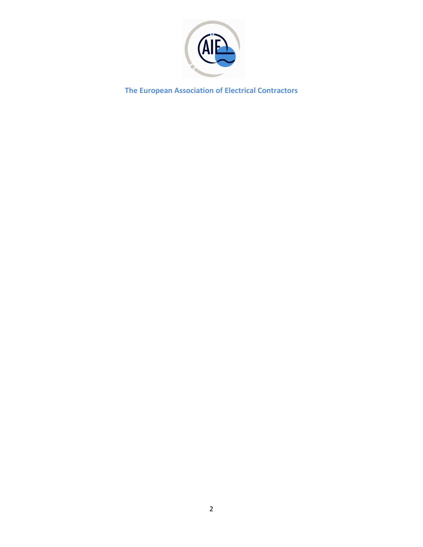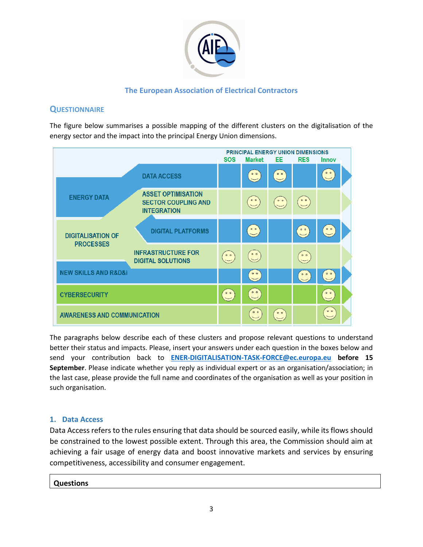

## **QUESTIONNAIRE**

The figure below summarises a possible mapping of the different clusters on the digitalisation of the energy sector and the impact into the principal Energy Union dimensions.

|                                              |                                                                               | <b>PRINCIPAL ENERGY UNION DIMENSIONS</b> |                                                           |                                             |                                                                        |                 |
|----------------------------------------------|-------------------------------------------------------------------------------|------------------------------------------|-----------------------------------------------------------|---------------------------------------------|------------------------------------------------------------------------|-----------------|
|                                              |                                                                               | <b>SOS</b>                               | <b>Market</b>                                             | EE.                                         | <b>RES</b>                                                             | <b>Innov</b>    |
|                                              | <b>DATA ACCESS</b>                                                            |                                          | $\overset{\circ}{\phantom{a}}$                            | $\circ$ $\circ$                             |                                                                        | 0 <sub>o</sub>  |
| <b>ENERGY DATA</b>                           | <b>ASSET OPTIMISATION</b><br><b>SECTOR COUPLING AND</b><br><b>INTEGRATION</b> |                                          | $\ddot{\bullet}$                                          | $\begin{pmatrix} 0 \\ 0 \\ 0 \end{pmatrix}$ | $\begin{bmatrix} \bullet & \bullet \\ \bullet & \bullet \end{bmatrix}$ |                 |
| <b>DIGITALISATION OF</b><br><b>PROCESSES</b> | <b>DIGITAL PLATFORMS</b>                                                      |                                          | $\overset{\circ}{\phantom{a}}$                            |                                             | $\overset{\circ}{\phantom{a}}$                                         | $\circ$ $\circ$ |
|                                              | <b>INFRASTRUCTURE FOR</b><br><b>DIGITAL SOLUTIONS</b>                         | $\frac{0}{1}$                            | $\begin{bmatrix} 0 & 0 \\ 0 & 0 \end{bmatrix}$            |                                             | $\circ$ $\circ$                                                        |                 |
| <b>NEW SKILLS AND R&amp;D&amp;i</b>          |                                                                               |                                          | $\overset{\circ}{\smile}$                                 |                                             | $\circ$ $\circ$                                                        | 0 <sub>0</sub>  |
| <b>CYBERSECURITY</b>                         |                                                                               | $\frac{1}{2}$                            | $\left[\begin{array}{c} \circ & \circ \end{array}\right]$ |                                             |                                                                        | $\circ$ $\circ$ |
| <b>AWARENESS AND COMMUNICATION</b>           |                                                                               |                                          | 0 <sub>0</sub>                                            | $\circ$ $\circ$                             |                                                                        | 0 <sub>0</sub>  |

The paragraphs below describe each of these clusters and propose relevant questions to understand better their status and impacts. Please, insert your answers under each question in the boxes below and send your contribution back to **[ENER-DIGITALISATION-TASK-FORCE@ec.europa.eu](mailto:ENER-DIGITALISATION-TASK-FORCE@ec.europa.eu) before 15 September**. Please indicate whether you reply as individual expert or as an organisation/association; in the last case, please provide the full name and coordinates of the organisation as well as your position in such organisation.

#### **1. Data Access**

Data Access refers to the rules ensuring that data should be sourced easily, while its flows should be constrained to the lowest possible extent. Through this area, the Commission should aim at achieving a fair usage of energy data and boost innovative markets and services by ensuring competitiveness, accessibility and consumer engagement.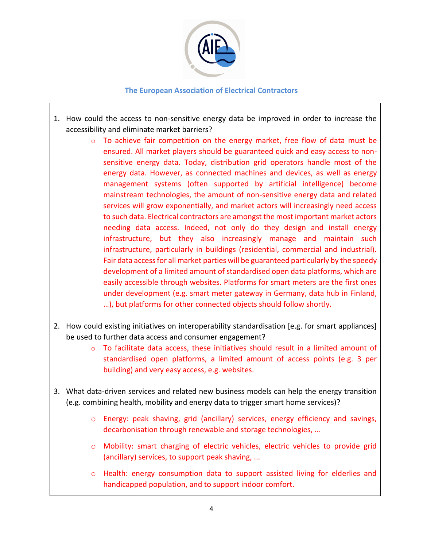

- 1. How could the access to non-sensitive energy data be improved in order to increase the accessibility and eliminate market barriers?
	- o To achieve fair competition on the energy market, free flow of data must be ensured. All market players should be guaranteed quick and easy access to nonsensitive energy data. Today, distribution grid operators handle most of the energy data. However, as connected machines and devices, as well as energy management systems (often supported by artificial intelligence) become mainstream technologies, the amount of non-sensitive energy data and related services will grow exponentially, and market actors will increasingly need access to such data. Electrical contractors are amongst the most important market actors needing data access. Indeed, not only do they design and install energy infrastructure, but they also increasingly manage and maintain such infrastructure, particularly in buildings (residential, commercial and industrial). Fair data access for all market parties will be guaranteed particularly by the speedy development of a limited amount of standardised open data platforms, which are easily accessible through websites. Platforms for smart meters are the first ones under development (e.g. smart meter gateway in Germany, data hub in Finland, …), but platforms for other connected objects should follow shortly.
- 2. How could existing initiatives on interoperability standardisation [e.g. for smart appliances] be used to further data access and consumer engagement?
	- $\circ$  To facilitate data access, these initiatives should result in a limited amount of standardised open platforms, a limited amount of access points (e.g. 3 per building) and very easy access, e.g. websites.
- 3. What data-driven services and related new business models can help the energy transition (e.g. combining health, mobility and energy data to trigger smart home services)?
	- o Energy: peak shaving, grid (ancillary) services, energy efficiency and savings, decarbonisation through renewable and storage technologies, ...
	- o Mobility: smart charging of electric vehicles, electric vehicles to provide grid (ancillary) services, to support peak shaving, ...
	- o Health: energy consumption data to support assisted living for elderlies and handicapped population, and to support indoor comfort.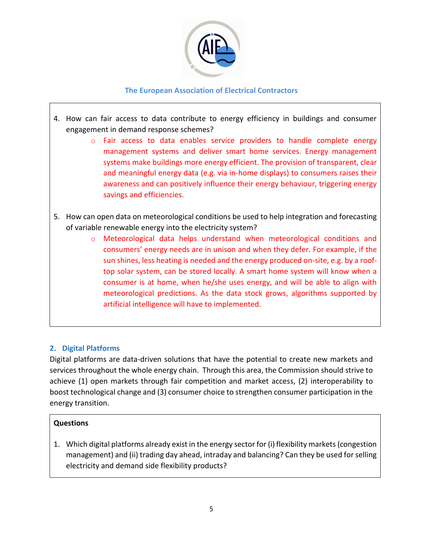

- 4. How can fair access to data contribute to energy efficiency in buildings and consumer engagement in demand response schemes?
	- o Fair access to data enables service providers to handle complete energy management systems and deliver smart home services. Energy management systems make buildings more energy efficient. The provision of transparent, clear and meaningful energy data (e.g. via in-home displays) to consumers raises their awareness and can positively influence their energy behaviour, triggering energy savings and efficiencies.
- 5. How can open data on meteorological conditions be used to help integration and forecasting of variable renewable energy into the electricity system?
	- o Meteorological data helps understand when meteorological conditions and consumers' energy needs are in unison and when they defer. For example, if the sun shines, less heating is needed and the energy produced on-site, e.g. by a rooftop solar system, can be stored locally. A smart home system will know when a consumer is at home, when he/she uses energy, and will be able to align with meteorological predictions. As the data stock grows, algorithms supported by artificial intelligence will have to implemented.

## **2. Digital Platforms**

Digital platforms are data-driven solutions that have the potential to create new markets and services throughout the whole energy chain. Through this area, the Commission should strive to achieve (1) open markets through fair competition and market access, (2) interoperability to boost technological change and (3) consumer choice to strengthen consumer participation in the energy transition.

## **Questions**

1. Which digital platforms already exist in the energy sector for (i) flexibility markets (congestion management) and (ii) trading day ahead, intraday and balancing? Can they be used for selling electricity and demand side flexibility products?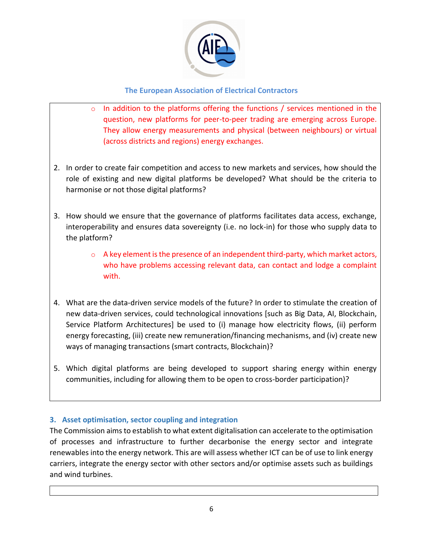

- o In addition to the platforms offering the functions / services mentioned in the question, new platforms for peer-to-peer trading are emerging across Europe. They allow energy measurements and physical (between neighbours) or virtual (across districts and regions) energy exchanges.
- 2. In order to create fair competition and access to new markets and services, how should the role of existing and new digital platforms be developed? What should be the criteria to harmonise or not those digital platforms?
- 3. How should we ensure that the governance of platforms facilitates data access, exchange, interoperability and ensures data sovereignty (i.e. no lock-in) for those who supply data to the platform?
	- o A key element is the presence of an independent third-party, which market actors, who have problems accessing relevant data, can contact and lodge a complaint with.
- 4. What are the data-driven service models of the future? In order to stimulate the creation of new data-driven services, could technological innovations [such as Big Data, AI, Blockchain, Service Platform Architectures] be used to (i) manage how electricity flows, (ii) perform energy forecasting, (iii) create new remuneration/financing mechanisms, and (iv) create new ways of managing transactions (smart contracts, Blockchain)?
- 5. Which digital platforms are being developed to support sharing energy within energy communities, including for allowing them to be open to cross-border participation)?

# **3. Asset optimisation, sector coupling and integration**

The Commission aims to establish to what extent digitalisation can accelerate to the optimisation of processes and infrastructure to further decarbonise the energy sector and integrate renewables into the energy network. This are will assess whether ICT can be of use to link energy carriers, integrate the energy sector with other sectors and/or optimise assets such as buildings and wind turbines.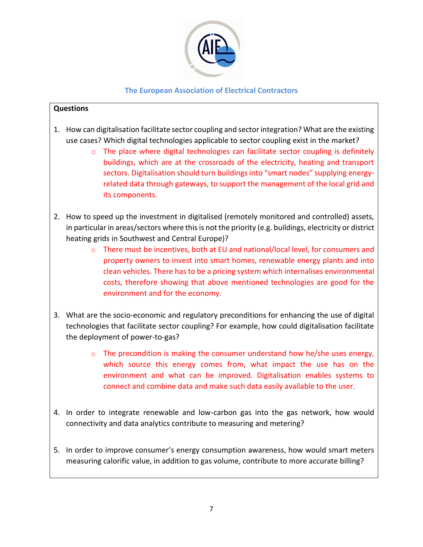

- 1. How can digitalisation facilitate sector coupling and sector integration? What are the existing use cases? Which digital technologies applicable to sector coupling exist in the market?
	- $\circ$  The place where digital technologies can facilitate sector coupling is definitely buildings, which are at the crossroads of the electricity, heating and transport sectors. Digitalisation should turn buildings into "smart nodes" supplying energyrelated data through gateways, to support the management of the local grid and its components.
- 2. How to speed up the investment in digitalised (remotely monitored and controlled) assets, in particular in areas/sectors where this is not the priority (e.g. buildings, electricity or district heating grids in Southwest and Central Europe)?
	- $\circ$  There must be incentives, both at EU and national/local level, for consumers and property owners to invest into smart homes, renewable energy plants and into clean vehicles. There has to be a pricing system which internalises environmental costs, therefore showing that above mentioned technologies are good for the environment and for the economy.
- 3. What are the socio-economic and regulatory preconditions for enhancing the use of digital technologies that facilitate sector coupling? For example, how could digitalisation facilitate the deployment of power-to-gas?
	- o The precondition is making the consumer understand how he/she uses energy, which source this energy comes from, what impact the use has on the environment and what can be improved. Digitalisation enables systems to connect and combine data and make such data easily available to the user.
- 4. In order to integrate renewable and low-carbon gas into the gas network, how would connectivity and data analytics contribute to measuring and metering?
- 5. In order to improve consumer's energy consumption awareness, how would smart meters measuring calorific value, in addition to gas volume, contribute to more accurate billing?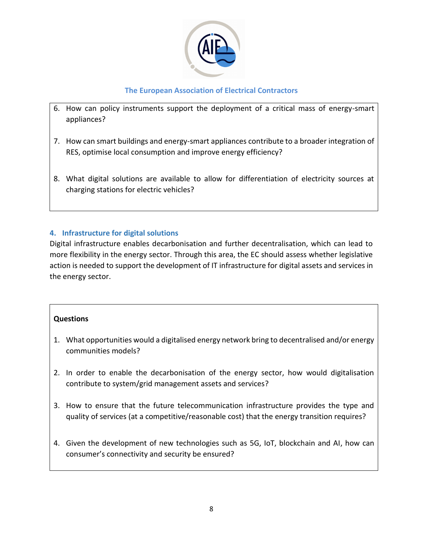

- 6. How can policy instruments support the deployment of a critical mass of energy-smart appliances?
- 7. How can smart buildings and energy-smart appliances contribute to a broader integration of RES, optimise local consumption and improve energy efficiency?
- 8. What digital solutions are available to allow for differentiation of electricity sources at charging stations for electric vehicles?

# **4. Infrastructure for digital solutions**

Digital infrastructure enables decarbonisation and further decentralisation, which can lead to more flexibility in the energy sector. Through this area, the EC should assess whether legislative action is needed to support the development of IT infrastructure for digital assets and services in the energy sector.

- 1. What opportunities would a digitalised energy network bring to decentralised and/or energy communities models?
- 2. In order to enable the decarbonisation of the energy sector, how would digitalisation contribute to system/grid management assets and services?
- 3. How to ensure that the future telecommunication infrastructure provides the type and quality of services (at a competitive/reasonable cost) that the energy transition requires?
- 4. Given the development of new technologies such as 5G, IoT, blockchain and AI, how can consumer's connectivity and security be ensured?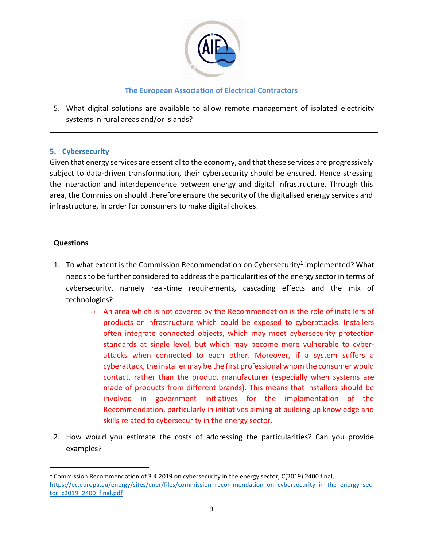

5. What digital solutions are available to allow remote management of isolated electricity systems in rural areas and/or islands?

#### **5. Cybersecurity**

Given that energy services are essential to the economy, and that these services are progressively subject to data-driven transformation, their cybersecurity should be ensured. Hence stressing the interaction and interdependence between energy and digital infrastructure. Through this area, the Commission should therefore ensure the security of the digitalised energy services and infrastructure, in order for consumers to make digital choices.

- 1. To what extent is the Commission Recommendation on Cybersecurity<sup>1</sup> implemented? What needs to be further considered to address the particularities of the energy sector in terms of cybersecurity, namely real-time requirements, cascading effects and the mix of technologies?
	- o An area which is not covered by the Recommendation is the role of installers of products or infrastructure which could be exposed to cyberattacks. Installers often integrate connected objects, which may meet cybersecurity protection standards at single level, but which may become more vulnerable to cyberattacks when connected to each other. Moreover, if a system suffers a cyberattack, the installer may be the first professional whom the consumer would contact, rather than the product manufacturer (especially when systems are made of products from different brands). This means that installers should be involved in government initiatives for the implementation of the Recommendation, particularly in initiatives aiming at building up knowledge and skills related to cybersecurity in the energy sector.
- 2. How would you estimate the costs of addressing the particularities? Can you provide examples?

 $1$  Commission Recommendation of 3.4.2019 on cybersecurity in the energy sector, C(2019) 2400 final, [https://ec.europa.eu/energy/sites/ener/files/commission\\_recommendation\\_on\\_cybersecurity\\_in\\_the\\_energy\\_sec](https://ec.europa.eu/energy/sites/ener/files/commission_recommendation_on_cybersecurity_in_the_energy_sector_c2019_2400_final.pdf) [tor\\_c2019\\_2400\\_final.pdf](https://ec.europa.eu/energy/sites/ener/files/commission_recommendation_on_cybersecurity_in_the_energy_sector_c2019_2400_final.pdf)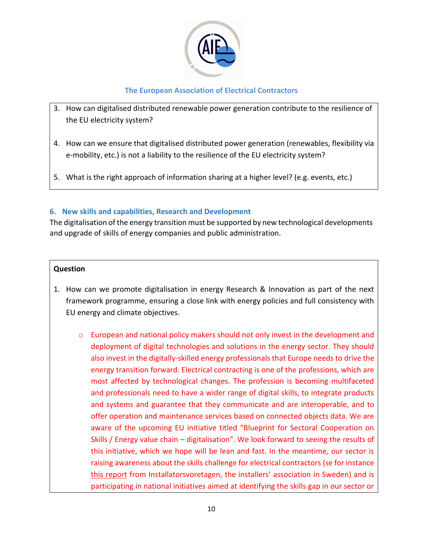

- 3. How can digitalised distributed renewable power generation contribute to the resilience of the EU electricity system?
- 4. How can we ensure that digitalised distributed power generation (renewables, flexibility via e-mobility, etc.) is not a liability to the resilience of the EU electricity system?
- 5. What is the right approach of information sharing at a higher level? (e.g. events, etc.)

## **6. New skills and capabilities, Research and Development**

The digitalisation of the energy transition must be supported by new technological developments and upgrade of skills of energy companies and public administration.

- 1. How can we promote digitalisation in energy Research & Innovation as part of the next framework programme, ensuring a close link with energy policies and full consistency with EU energy and climate objectives.
	- $\circ$  European and national policy makers should not only invest in the development and deployment of digital technologies and solutions in the energy sector. They should also invest in the digitally-skilled energy professionals that Europe needs to drive the energy transition forward. Electrical contracting is one of the professions, which are most affected by technological changes. The profession is becoming multifaceted and professionals need to have a wider range of digital skills, to integrate products and systems and guarantee that they communicate and are interoperable, and to offer operation and maintenance services based on connected objects data. We are aware of the upcoming EU initiative titled "Blueprint for Sectoral Cooperation on Skills / Energy value chain – digitalisation". We look forward to seeing the results of this initiative, which we hope will be lean and fast. In the meantime, our sector is raising awareness about the skills challenge for electrical contractors (se for instance [this report](https://www.installatorsforetagen.se/aktuellt/rapporter/kompetensrapporter/#/) from Installatorsvoretagen, the installers' association in Sweden) and is participating in national initiatives aimed at identifying the skills gap in our sector or